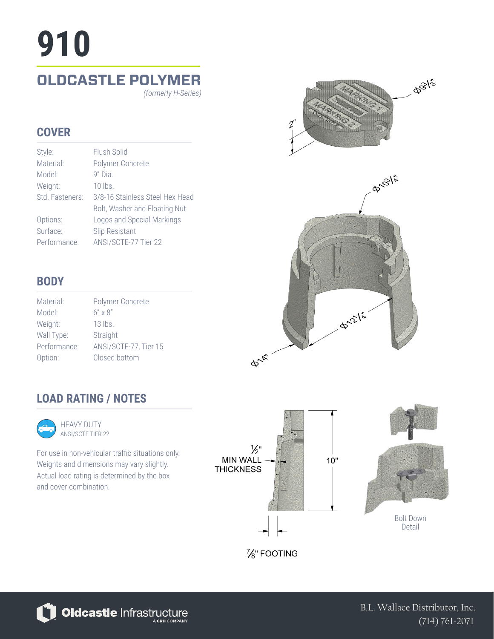# **OLDCASTLE POLYMER 910**

*(formerly H-Series)*

### **COVER**

| Style:          | Flush Solid                     |
|-----------------|---------------------------------|
| Material:       | Polymer Concrete                |
| Model:          | $9"$ Dia.                       |
| Weight:         | $10$ lbs.                       |
| Std. Fasteners: | 3/8-16 Stainless Steel Hex Head |
|                 | Bolt, Washer and Floating Nut   |
| Options:        | Logos and Special Markings      |
| Surface:        | Slip Resistant                  |
| Performance:    | ANSI/SCTE-77 Tier 22            |



| DUD I     |  |
|-----------|--|
| Material: |  |

| Material:    | Polymer Concrete      |
|--------------|-----------------------|
| Model:       | $6'' \times 8''$      |
| Weight:      | 13 lbs.               |
| Wall Type:   | Straight              |
| Performance: | ANSI/SCTE-77, Tier 15 |
| Option:      | Closed bottom         |



### **LOAD RATING / NOTES**



ANSI/SCTE TIER 22

For use in non-vehicular traffic situations only. Weights and dimensions may vary slightly. Actual load rating is determined by the box and cover combination.





Bolt Down Detail

%" FOOTING



B.L. Wallace Distributor, Inc. (714) 761-2071